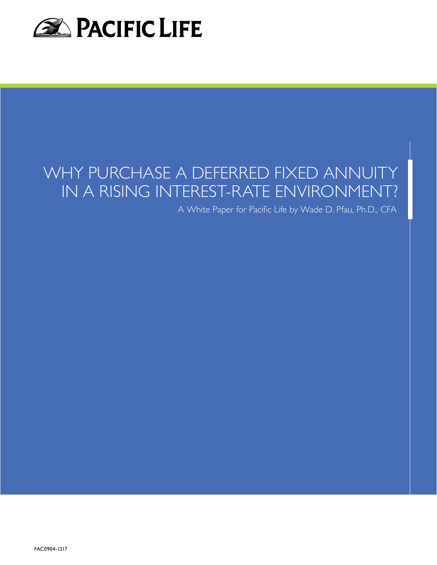

# WHY PURCHASE A DEFERRED FIXED ANNUITY IN A RISING INTEREST-RATE ENVIRONMENT?

A White Paper for Pacific Life by Wade D. Pfau, Ph.D., CFA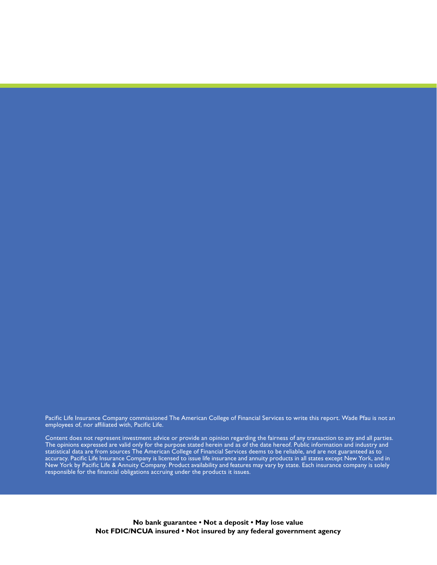Pacific Life Insurance Company commissioned The American College of Financial Services to write this report. Wade Pfau is not an employees of, nor affiliated with, Pacific Life.

Content does not represent investment advice or provide an opinion regarding the fairness of any transaction to any and all parties. The opinions expressed are valid only for the purpose stated herein and as of the date hereof. Public information and industry and statistical data are from sources The American College of Financial Services deems to be reliable, and are not guaranteed as to accuracy. Pacific Life Insurance Company is licensed to issue life insurance and annuity products in all states except New York, and in New York by Pacific Life & Annuity Company. Product availability and features may vary by state. Each insurance company is solely responsible for the financial obligations accruing under the products it issues.

> **No bank guarantee • Not a deposit • May lose value Not FDIC/NCUA insured • Not insured by any federal government agency**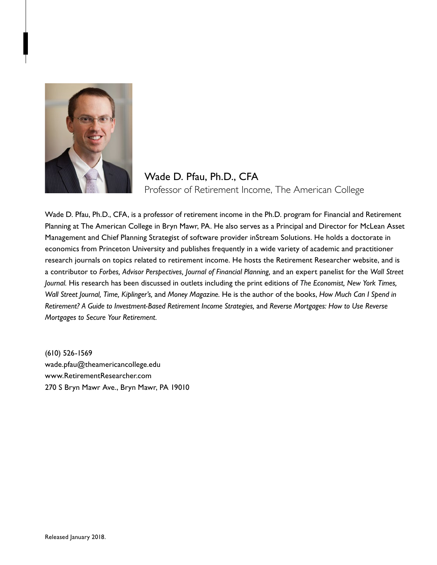

# Wade D. Pfau, Ph.D., CFA Professor of Retirement Income, The American College

Wade D. Pfau, Ph.D., CFA, is a professor of retirement income in the Ph.D. program for Financial and Retirement Planning at The American College in Bryn Mawr, PA. He also serves as a Principal and Director for McLean Asset Management and Chief Planning Strategist of software provider inStream Solutions. He holds a doctorate in economics from Princeton University and publishes frequently in a wide variety of academic and practitioner research journals on topics related to retirement income. He hosts the Retirement Researcher website, and is a contributor to *Forbes, Advisor Perspectives, Journal of Financial Planning,* and an expert panelist for the *Wall Street Journal.* His research has been discussed in outlets including the print editions of *The Economist, New York Times, Wall Street Journal, Time, Kiplinger's,* and *Money Magazine.* He is the author of the books, *How Much Can I Spend in Retirement? A Guide to Investment-Based Retirement Income Strategies,* and *Reverse Mortgages: How to Use Reverse Mortgages to Secure Your Retirement.*

(610) 526-1569 wade.pfau@theamericancollege.edu www.RetirementResearcher.com 270 S Bryn Mawr Ave., Bryn Mawr, PA 19010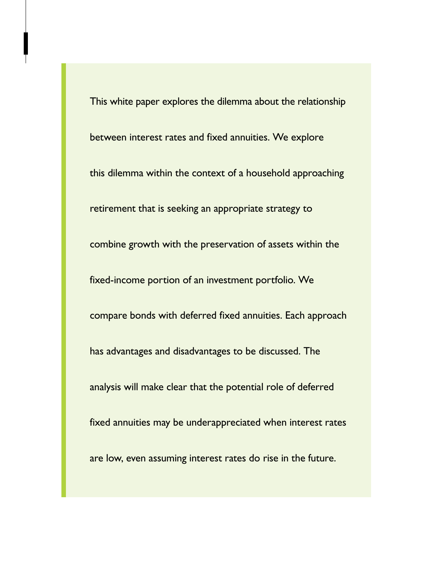This white paper explores the dilemma about the relationship between interest rates and fixed annuities. We explore this dilemma within the context of a household approaching retirement that is seeking an appropriate strategy to combine growth with the preservation of assets within the fixed-income portion of an investment portfolio. We compare bonds with deferred fixed annuities. Each approach has advantages and disadvantages to be discussed. The analysis will make clear that the potential role of deferred fixed annuities may be underappreciated when interest rates are low, even assuming interest rates do rise in the future.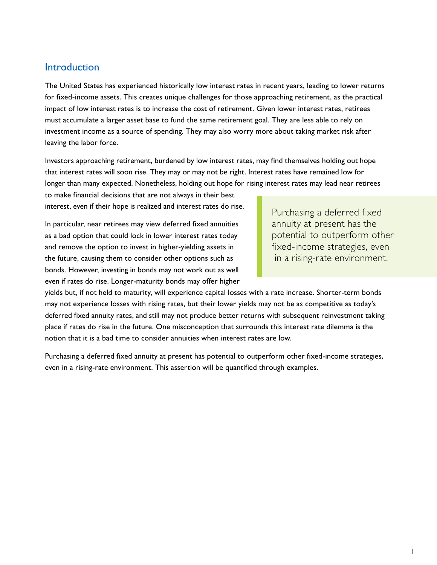## **Introduction**

The United States has experienced historically low interest rates in recent years, leading to lower returns for fixed-income assets. This creates unique challenges for those approaching retirement, as the practical impact of low interest rates is to increase the cost of retirement. Given lower interest rates, retirees must accumulate a larger asset base to fund the same retirement goal. They are less able to rely on investment income as a source of spending. They may also worry more about taking market risk after leaving the labor force.

Investors approaching retirement, burdened by low interest rates, may find themselves holding out hope that interest rates will soon rise. They may or may not be right. Interest rates have remained low for longer than many expected. Nonetheless, holding out hope for rising interest rates may lead near retirees

to make financial decisions that are not always in their best interest, even if their hope is realized and interest rates do rise.

In particular, near retirees may view deferred fixed annuities as a bad option that could lock in lower interest rates today and remove the option to invest in higher-yielding assets in the future, causing them to consider other options such as bonds. However, investing in bonds may not work out as well even if rates do rise. Longer-maturity bonds may offer higher

Purchasing a deferred fixed annuity at present has the potential to outperform other fixed-income strategies, even in a rising-rate environment.

yields but, if not held to maturity, will experience capital losses with a rate increase. Shorter-term bonds may not experience losses with rising rates, but their lower yields may not be as competitive as today's deferred fixed annuity rates, and still may not produce better returns with subsequent reinvestment taking place if rates do rise in the future. One misconception that surrounds this interest rate dilemma is the notion that it is a bad time to consider annuities when interest rates are low.

Purchasing a deferred fixed annuity at present has potential to outperform other fixed-income strategies, even in a rising-rate environment. This assertion will be quantified through examples.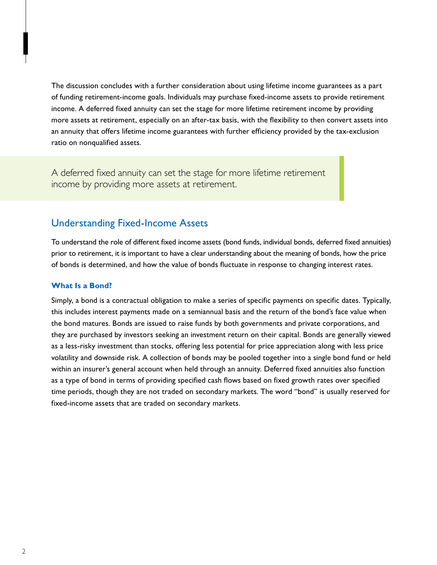The discussion concludes with a further consideration about using lifetime income guarantees as a part of funding retirement-income goals. Individuals may purchase fixed-income assets to provide retirement income. A deferred fixed annuity can set the stage for more lifetime retirement income by providing more assets at retirement, especially on an after-tax basis, with the flexibility to then convert assets into an annuity that offers lifetime income guarantees with further efficiency provided by the tax-exclusion ratio on nonqualified assets.

A deferred fixed annuity can set the stage for more lifetime retirement income by providing more assets at retirement.

## Understanding Fixed-Income Assets

To understand the role of different fixed income assets (bond funds, individual bonds, deferred fixed annuities) prior to retirement, it is important to have a clear understanding about the meaning of bonds, how the price of bonds is determined, and how the value of bonds fluctuate in response to changing interest rates.

### **What Is a Bond?**

Simply, a bond is a contractual obligation to make a series of specific payments on specific dates. Typically, this includes interest payments made on a semiannual basis and the return of the bond's face value when the bond matures. Bonds are issued to raise funds by both governments and private corporations, and they are purchased by investors seeking an investment return on their capital. Bonds are generally viewed as a less-risky investment than stocks, offering less potential for price appreciation along with less price volatility and downside risk. A collection of bonds may be pooled together into a single bond fund or held within an insurer's general account when held through an annuity. Deferred fixed annuities also function as a type of bond in terms of providing specified cash flows based on fixed growth rates over specified time periods, though they are not traded on secondary markets. The word "bond" is usually reserved for fixed-income assets that are traded on secondary markets.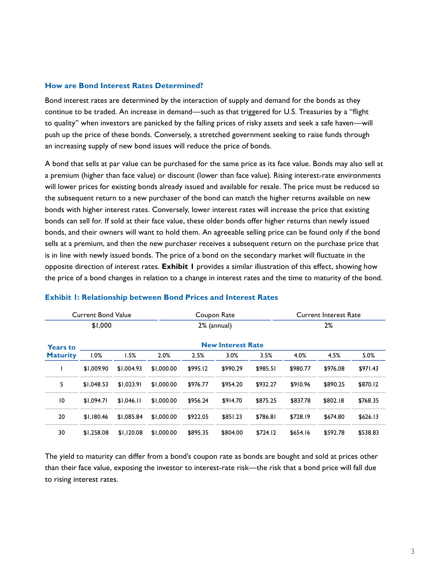#### **How are Bond Interest Rates Determined?**

Bond interest rates are determined by the interaction of supply and demand for the bonds as they continue to be traded. An increase in demand—such as that triggered for U.S. Treasuries by a "flight to quality" when investors are panicked by the falling prices of risky assets and seek a safe haven—will push up the price of these bonds. Conversely, a stretched government seeking to raise funds through an increasing supply of new bond issues will reduce the price of bonds.

A bond that sells at par value can be purchased for the same price as its face value. Bonds may also sell at a premium (higher than face value) or discount (lower than face value). Rising interest-rate environments will lower prices for existing bonds already issued and available for resale. The price must be reduced so the subsequent return to a new purchaser of the bond can match the higher returns available on new bonds with higher interest rates. Conversely, lower interest rates will increase the price that existing bonds can sell for. If sold at their face value, these older bonds offer higher returns than newly issued bonds, and their owners will want to hold them. An agreeable selling price can be found only if the bond sells at a premium, and then the new purchaser receives a subsequent return on the purchase price that is in line with newly issued bonds. The price of a bond on the secondary market will fluctuate in the opposite direction of interest rates. **Exhibit 1** provides a similar illustration of this effect, showing how the price of a bond changes in relation to a change in interest rates and the time to maturity of the bond.

|                 | Current Bond Value       |            |            | Coupon Rate |          |          |          | <b>Current Interest Rate</b> |          |  |  |
|-----------------|--------------------------|------------|------------|-------------|----------|----------|----------|------------------------------|----------|--|--|
|                 | \$1,000                  |            |            | 2% (annual) |          |          | 2%       |                              |          |  |  |
| <b>Years to</b> | <b>New Interest Rate</b> |            |            |             |          |          |          |                              |          |  |  |
| <b>Maturity</b> | 1.0%                     | 1.5%       | 2.0%       | 2.5%        | 3.0%     | 3.5%     | 4.0%     | 4.5%                         | 5.0%     |  |  |
|                 | \$1,009.90               | \$1,004.93 | \$1,000.00 | \$995.12    | \$990.29 | \$985.51 | \$980.77 | \$976.08                     | \$971.43 |  |  |
| 5               | \$1,048.53               | \$1.023.91 | \$1,000.00 | \$976.77    | \$954.20 | \$932.27 | \$910.96 | \$890.25                     | \$870.12 |  |  |
| 10              | \$1.094.71               | \$1.046.11 | \$1,000.00 | \$956.24    | \$914.70 | \$875.25 | \$837.78 | \$802.18                     | \$768.35 |  |  |
| 20              | \$1.180.46               | \$1,085.84 | \$1,000.00 | \$922.05    | \$851.23 | \$786.81 | \$728.19 | \$674.80                     | \$626.13 |  |  |
| 30              | \$1,258.08               | \$1.120.08 | \$1,000.00 | \$895.35    | \$804.00 | \$724.12 | \$654.16 | \$592.78                     | \$538.83 |  |  |

#### **Exhibit 1: Relationship between Bond Prices and Interest Rates**

The yield to maturity can differ from a bond's coupon rate as bonds are bought and sold at prices other than their face value, exposing the investor to interest-rate risk—the risk that a bond price will fall due to rising interest rates.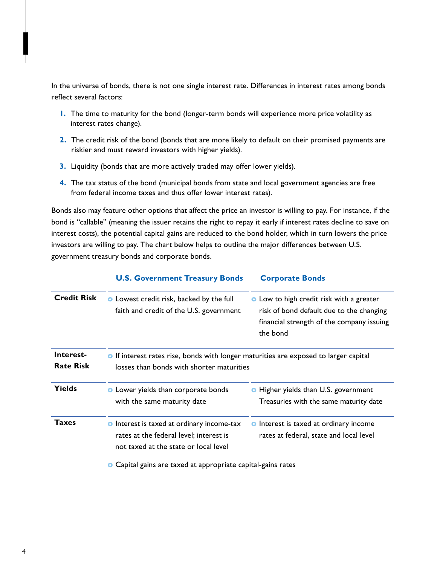In the universe of bonds, there is not one single interest rate. Differences in interest rates among bonds reflect several factors:

- **1.** The time to maturity for the bond (longer-term bonds will experience more price volatility as interest rates change).
- **2.** The credit risk of the bond (bonds that are more likely to default on their promised payments are riskier and must reward investors with higher yields).
- **3.** Liquidity (bonds that are more actively traded may offer lower yields).
- **4.** The tax status of the bond (municipal bonds from state and local government agencies are free from federal income taxes and thus offer lower interest rates).

Bonds also may feature other options that affect the price an investor is willing to pay. For instance, if the bond is "callable" (meaning the issuer retains the right to repay it early if interest rates decline to save on interest costs), the potential capital gains are reduced to the bond holder, which in turn lowers the price investors are willing to pay. The chart below helps to outline the major differences between U.S. government treasury bonds and corporate bonds.

|                               | <b>U.S. Government Treasury Bonds</b>                                                                                                    | <b>Corporate Bonds</b>                                                                                                                               |  |  |  |
|-------------------------------|------------------------------------------------------------------------------------------------------------------------------------------|------------------------------------------------------------------------------------------------------------------------------------------------------|--|--|--|
| <b>Credit Risk</b>            | <b>o</b> Lowest credit risk, backed by the full<br>faith and credit of the U.S. government                                               | <b>•</b> Low to high credit risk with a greater<br>risk of bond default due to the changing<br>financial strength of the company issuing<br>the bond |  |  |  |
| Interest-<br><b>Rate Risk</b> | <b>•</b> If interest rates rise, bonds with longer maturities are exposed to larger capital<br>losses than bonds with shorter maturities |                                                                                                                                                      |  |  |  |
| <b>Yields</b>                 | <b>o</b> Lower yields than corporate bonds<br>with the same maturity date                                                                | • Higher yields than U.S. government<br>Treasuries with the same maturity date                                                                       |  |  |  |
| Taxes                         | <b>o</b> Interest is taxed at ordinary income-tax<br>rates at the federal level; interest is<br>not taxed at the state or local level    | <b>o</b> Interest is taxed at ordinary income<br>rates at federal, state and local level                                                             |  |  |  |
|                               | • Capital gains are taxed at appropriate capital-gains rates                                                                             |                                                                                                                                                      |  |  |  |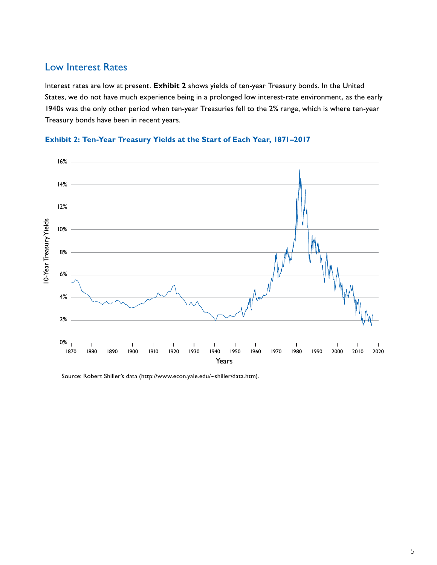## Low Interest Rates

Interest rates are low at present. **Exhibit 2** shows yields of ten-year Treasury bonds. In the United States, we do not have much experience being in a prolonged low interest-rate environment, as the early 1940s was the only other period when ten-year Treasuries fell to the 2% range, which is where ten-year Treasury bonds have been in recent years.



#### **Exhibit 2: Ten-Year Treasury Yields at the Start of Each Year, 1871–2017**

Source: Robert Shiller's data (http://www.econ.yale.edu/~shiller/data.htm).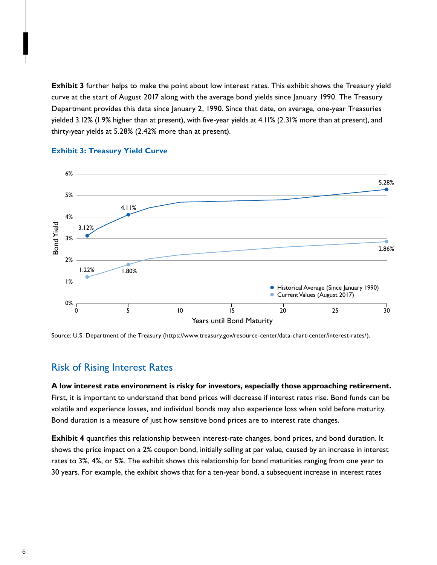**Exhibit 3** further helps to make the point about low interest rates. This exhibit shows the Treasury yield curve at the start of August 2017 along with the average bond yields since January 1990. The Treasury Department provides this data since January 2, 1990. Since that date, on average, one-year Treasuries yielded 3.12% (1.9% higher than at present), with five-year yields at 4.11% (2.31% more than at present), and thirty-year yields at 5.28% (2.42% more than at present).



#### **Exhibit 3: Treasury Yield Curve**

Source: U.S. Department of the Treasury (https://www.treasury.gov/resource-center/data-chart-center/interest-rates/).

## Risk of Rising Interest Rates

**A low interest rate environment is risky for investors, especially those approaching retirement.** First, it is important to understand that bond prices will decrease if interest rates rise. Bond funds can be volatile and experience losses, and individual bonds may also experience loss when sold before maturity. **Bond duration is a measure of just how sensitive bond prices are to interest rate changes. remove this sentence.** 

**Exhibit 4** quantifies this relationship between interest-rate changes, bond prices, and bond duration. It shows the price impact on a 2% coupon bond, initially selling at par value, caused by an increase in interest rates to 3%, 4%, or 5%. The exhibit shows this relationship for bond maturities ranging from one year to 30 years. For example, the exhibit shows that for a ten-year bond, a subsequent increase in interest rates  $\frac{1}{2}$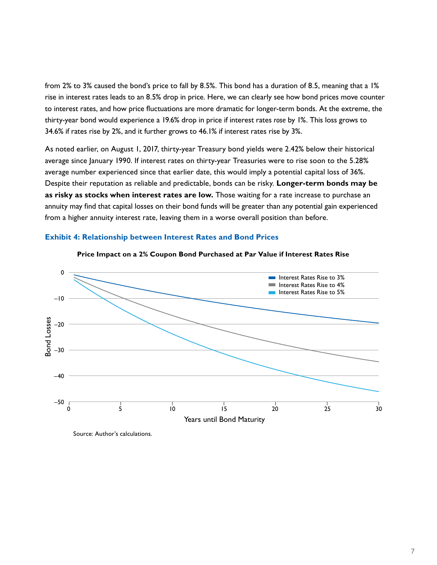from 2% to 3% caused the bond's price to fall by 8.5%. This bond has a duration of 8.5, meaning that a 1% rise in interest rates leads to an 8.5% drop in price. Here, we can clearly see how bond prices move counter to interest rates, and how price fluctuations are more dramatic for longer-term bonds. At the extreme, the thirty-year bond would experience a 19.6% drop in price if interest rates *rose* by 1%. This loss grows to 34.6% if rates rise by 2%, and it further grows to 46.1% if interest rates rise by 3%.

As noted earlier, on August 1, 2017, thirty-year Treasury bond yields were 2.42% below their historical average since January 1990. If interest rates on thirty-year Treasuries were to rise soon to the 5.28% average number experienced since that earlier date, this would imply a potential capital loss of 36%. Despite their reputation as reliable and predictable, bonds can be risky. **Longer-term bonds may be as risky as stocks when interest rates are low.** Those waiting for a rate increase to purchase an annuity may find that capital losses on their bond funds will be greater than any potential gain experienced from a higher annuity interest rate, leaving them in a worse overall position than before.

#### **Exhibit 4: Relationship between Interest Rates and Bond Prices**





Source: Author's calculations.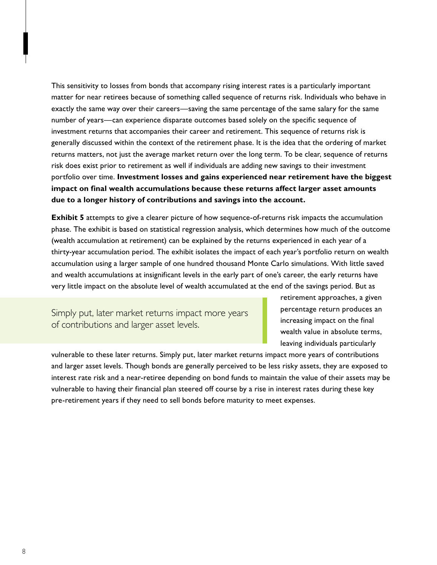This sensitivity to losses from bonds that accompany rising interest rates is a particularly important matter for near retirees because of something called sequence of returns risk. Individuals who behave in exactly the same way over their careers—saving the same percentage of the same salary for the same number of years—can experience disparate outcomes based solely on the specific sequence of investment returns that accompanies their career and retirement. This sequence of returns risk is generally discussed within the context of the retirement phase. It is the idea that the ordering of market returns matters, not just the average market return over the long term. To be clear, sequence of returns risk does exist prior to retirement as well if individuals are adding new savings to their investment portfolio over time. **Investment losses and gains experienced near retirement have the biggest impact on final wealth accumulations because these returns affect larger asset amounts due to a longer history of contributions and savings into the account.**

**Exhibit 5** attempts to give a clearer picture of how sequence-of-returns risk impacts the accumulation phase. The exhibit is based on statistical regression analysis, which determines how much of the outcome (wealth accumulation at retirement) can be explained by the returns experienced in each year of a thirty-year accumulation period. The exhibit isolates the impact of each year's portfolio return on wealth accumulation using a larger sample of one hundred thousand Monte Carlo simulations. With little saved and wealth accumulations at insignificant levels in the early part of one's career, the early returns have very little impact on the absolute level of wealth accumulated at the end of the savings period. But as

Simply put, later market returns impact more years of contributions and larger asset levels.

retirement approaches, a given percentage return produces an increasing impact on the final wealth value in absolute terms, leaving individuals particularly

vulnerable to these later returns. Simply put, later market returns impact more years of contributions and larger asset levels. Though bonds are generally perceived to be less risky assets, they are exposed to interest rate risk and a near-retiree depending on bond funds to maintain the value of their assets may be vulnerable to having their financial plan steered off course by a rise in interest rates during these key pre-retirement years if they need to sell bonds before maturity to meet expenses.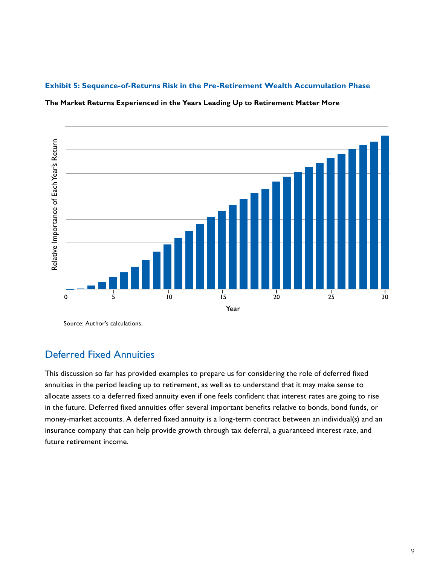#### **Exhibit 5: Sequence-of-Returns Risk in the Pre-Retirement Wealth Accumulation Phase**



**The Market Returns Experienced in the Years Leading Up to Retirement Matter More**

Source: Author's calculations.

## Deferred Fixed Annuities

This discussion so far has provided examples to prepare us for considering the role of deferred fixed annuities in the period leading up to retirement, as well as to understand that it may make sense to allocate assets to a deferred fixed annuity even if one feels confident that interest rates are going to rise in the future. Deferred fixed annuities offer several important benefits relative to bonds, bond funds, or money-market accounts. A deferred fixed annuity is a long-term contract between an individual(s) and an insurance company that can help provide growth through tax deferral, a guaranteed interest rate, and future retirement income.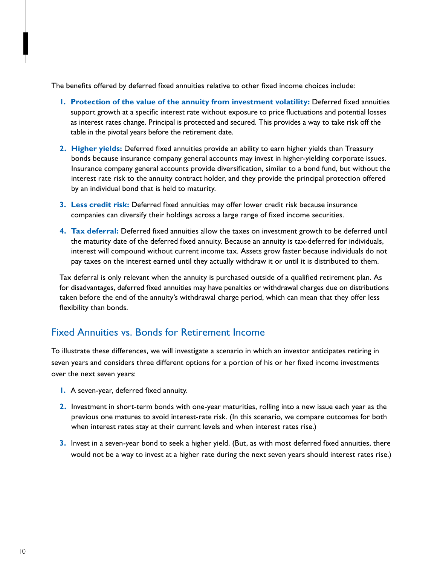The benefits offered by deferred fixed annuities relative to other fixed income choices include:

- **1. Protection of the value of the annuity from investment volatility:** Deferred fixed annuities support growth at a specific interest rate without exposure to price fluctuations and potential losses as interest rates change. Principal is protected and secured. This provides a way to take risk off the table in the pivotal years before the retirement date.
- **2. Higher yields:** Deferred fixed annuities provide an ability to earn higher yields than Treasury bonds because insurance company general accounts may invest in higher-yielding corporate issues. Insurance company general accounts provide diversification, similar to a bond fund, but without the interest rate risk to the annuity contract holder, and they provide the principal protection offered by an individual bond that is held to maturity.
- **3. Less credit risk:** Deferred fixed annuities may offer lower credit risk because insurance companies can diversify their holdings across a large range of fixed income securities.
- **4. Tax deferral:** Deferred fixed annuities allow the taxes on investment growth to be deferred until the maturity date of the deferred fixed annuity. Because an annuity is tax-deferred for individuals, interest will compound without current income tax. Assets grow faster because individuals do not pay taxes on the interest earned until they actually withdraw it or until it is distributed to them.

Tax deferral is only relevant when the annuity is purchased outside of a qualified retirement plan. As for disadvantages, deferred fixed annuities may have penalties or withdrawal charges due on distributions taken before the end of the annuity's withdrawal charge period, which can mean that they offer less flexibility than bonds.

# Fixed Annuities vs. Bonds for Retirement Income

To illustrate these differences, we will investigate a scenario in which an investor anticipates retiring in seven years and considers three different options for a portion of his or her fixed income investments over the next seven years:

- **1.** A seven-year, deferred fixed annuity.
- **2.** Investment in short-term bonds with one-year maturities, rolling into a new issue each year as the previous one matures to avoid interest-rate risk. (In this scenario, we compare outcomes for both when interest rates stay at their current levels and when interest rates rise.)
- **3.** Invest in a seven-year bond to seek a higher yield. (But, as with most deferred fixed annuities, there would not be a way to invest at a higher rate during the next seven years should interest rates rise.)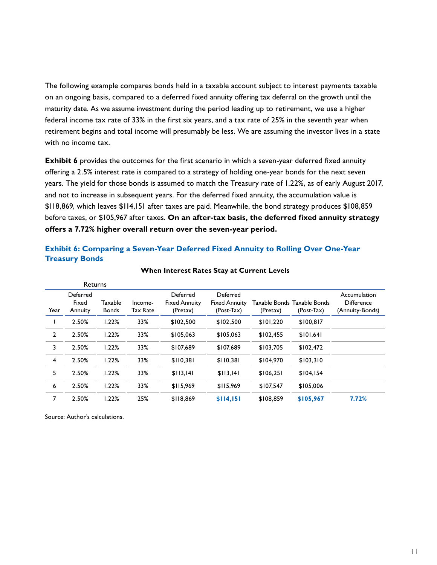The following example compares bonds held in a taxable account subject to interest payments taxable on an ongoing basis, compared to a deferred fixed annuity offering tax deferral on the growth until the maturity date. As we assume investment during the period leading up to retirement, we use a higher federal income tax rate of 33% in the first six years, and a tax rate of 25% in the seventh year when retirement begins and total income will presumably be less. We are assuming the investor lives in a state with no income tax.

**Exhibit 6** provides the outcomes for the first scenario in which a seven-year deferred fixed annuity offering a 2.5% interest rate is compared to a strategy of holding one-year bonds for the next seven years. The yield for those bonds is assumed to match the Treasury rate of 1.22%, as of early August 2017, and not to increase in subsequent years. For the deferred fixed annuity, the accumulation value is \$118,869, which leaves \$114,151 after taxes are paid. Meanwhile, the bond strategy produces \$108,859 before taxes, or \$105,967 after taxes. **On an after-tax basis, the deferred fixed annuity strategy offers a 7.72% higher overall return over the seven-year period.**

#### **Exhibit 6: Comparing a Seven-Year Deferred Fixed Annuity to Rolling Over One-Year Treasury Bonds**

| <b>Returns</b> |                              |                         |                            |                                              |                                                |           |                                             |                                                      |
|----------------|------------------------------|-------------------------|----------------------------|----------------------------------------------|------------------------------------------------|-----------|---------------------------------------------|------------------------------------------------------|
| Year           | Deferred<br>Fixed<br>Annuity | Taxable<br><b>Bonds</b> | Income-<br><b>Tax Rate</b> | Deferred<br><b>Fixed Annuity</b><br>(Pretax) | Deferred<br><b>Fixed Annuity</b><br>(Post-Tax) | (Pretax)  | Taxable Bonds Taxable Bonds<br>$(Post-Tax)$ | Accumulation<br><b>Difference</b><br>(Annuity-Bonds) |
|                | 2.50%                        | 1.22%                   | 33%                        | \$102.500                                    | \$102.500                                      | \$101.220 | \$100,817                                   |                                                      |
| $\overline{2}$ | 2.50%                        | 1.22%                   | 33%                        | \$105,063                                    | \$105,063                                      | \$102,455 | \$101.641                                   |                                                      |
| 3              | 2.50%                        | 1.22%                   | 33%                        | \$107.689                                    | \$107.689                                      | \$103,705 | \$102.472                                   |                                                      |
| $\overline{4}$ | 2.50%                        | 1.22%                   | 33%                        | \$110.381                                    | \$110.381                                      | \$104,970 | \$103,310                                   |                                                      |
| 5              | 2.50%                        | 1.22%                   | 33%                        | \$113.141                                    | \$113,141                                      | \$106.251 | \$104.154                                   |                                                      |
| 6              | 2.50%                        | 1.22%                   | 33%                        | \$115,969                                    | \$115,969                                      | \$107.547 | \$105,006                                   |                                                      |
| 7              | 2.50%                        | 1.22%                   | 25%                        | \$118,869                                    | \$114,151                                      | \$108,859 | \$105,967                                   | 7.72%                                                |

#### **When Interest Rates Stay at Current Levels**

Source: Author's calculations.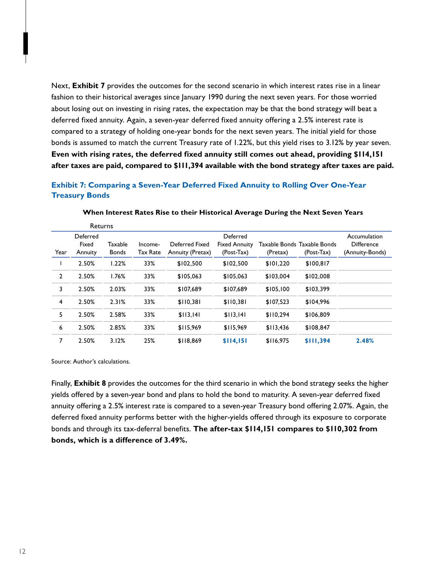Next, **Exhibit 7** provides the outcomes for the second scenario in which interest rates rise in a linear fashion to their historical averages since January 1990 during the next seven years. For those worried about losing out on investing in rising rates, the expectation may be that the bond strategy will beat a deferred fixed annuity. Again, a seven-year deferred fixed annuity offering a 2.5% interest rate is compared to a strategy of holding one-year bonds for the next seven years. The initial yield for those bonds is assumed to match the current Treasury rate of 1.22%, but this yield rises to 3.12% by year seven. **Even with rising rates, the deferred fixed annuity still comes out ahead, providing \$114,151 after taxes are paid, compared to \$111,394 available with the bond strategy after taxes are paid.** 

## **Exhibit 7: Comparing a Seven-Year Deferred Fixed Annuity to Rolling Over One-Year Treasury Bonds**

| <b>Returns</b> |                              |                         |                     |                                    |                                                |           |                                           |                                                      |
|----------------|------------------------------|-------------------------|---------------------|------------------------------------|------------------------------------------------|-----------|-------------------------------------------|------------------------------------------------------|
| Year           | Deferred<br>Fixed<br>Annuity | Taxable<br><b>Bonds</b> | Income-<br>Tax Rate | Deferred Fixed<br>Annuity (Pretax) | Deferred<br><b>Fixed Annuity</b><br>(Post-Tax) | (Pretax)  | Taxable Bonds Taxable Bonds<br>(Post-Tax) | Accumulation<br><b>Difference</b><br>(Annuity-Bonds) |
|                | 2.50%                        | 1.22%                   | 33%                 | \$102,500                          | \$102,500                                      | \$101,220 | \$100,817                                 |                                                      |
| $\overline{2}$ | 2.50%                        | 1.76%                   | 33%                 | \$105,063                          | \$105,063                                      | \$103,004 | \$102,008                                 |                                                      |
| 3              | 2.50%                        | 2.03%                   | 33%                 | \$107,689                          | \$107,689                                      | \$105,100 | \$103,399                                 |                                                      |
| 4              | 2.50%                        | 2.31%                   | 33%                 | \$110,381                          | \$110,381                                      | \$107,523 | \$104,996                                 |                                                      |
| 5              | 2.50%                        | 2.58%                   | 33%                 | \$113,141                          | \$113,141                                      | \$110,294 | \$106,809                                 |                                                      |
| 6              | 2.50%                        | 2.85%                   | 33%                 | \$115,969                          | \$115,969                                      | \$113,436 | \$108,847                                 |                                                      |
| 7              | 2.50%                        | 3.12%                   | 25%                 | \$118,869                          | \$114,151                                      | \$116,975 | \$111,394                                 | 2.48%                                                |

**When Interest Rates Rise to their Historical Average During the Next Seven Years**

Source: Author's calculations.

Finally, **Exhibit 8** provides the outcomes for the third scenario in which the bond strategy seeks the higher yields offered by a seven-year bond and plans to hold the bond to maturity. A seven-year deferred fixed annuity offering a 2.5% interest rate is compared to a seven-year Treasury bond offering 2.07%. Again, the deferred fixed annuity performs better with the higher-yields offered through its exposure to corporate bonds and through its tax-deferral benefits. **The after-tax \$114,151 compares to \$110,302 from bonds, which is a difference of 3.49%.**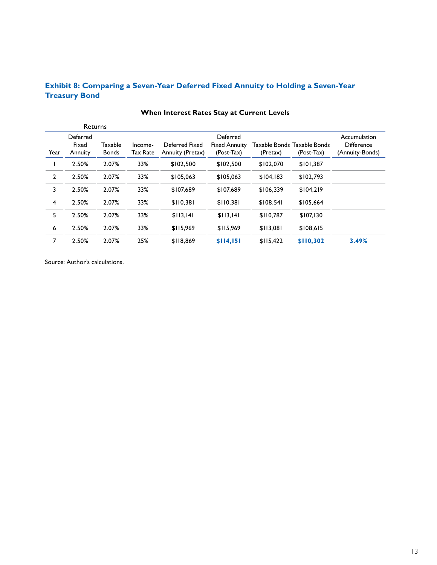## **Exhibit 8: Comparing a Seven-Year Deferred Fixed Annuity to Holding a Seven-Year Treasury Bond**

|                | <b>Returns</b>               |                                |                            |                                    |                                                |           |                                             |                                                      |
|----------------|------------------------------|--------------------------------|----------------------------|------------------------------------|------------------------------------------------|-----------|---------------------------------------------|------------------------------------------------------|
| Year           | Deferred<br>Fixed<br>Annuity | <b>Taxable</b><br><b>Bonds</b> | Income-<br><b>Tax Rate</b> | Deferred Fixed<br>Annuity (Pretax) | Deferred<br><b>Fixed Annuity</b><br>(Post-Tax) | (Pretax)  | Taxable Bonds Taxable Bonds<br>$(Post-Tax)$ | Accumulation<br><b>Difference</b><br>(Annuity-Bonds) |
|                | 2.50%                        | 2.07%                          | 33%                        | \$102,500                          | \$102,500                                      | \$102,070 | \$101,387                                   |                                                      |
| $\overline{2}$ | 2.50%                        | 2.07%                          | 33%                        | \$105,063                          | \$105,063                                      | \$104,183 | \$102,793                                   |                                                      |
| 3              | 2.50%                        | 2.07%                          | 33%                        | \$107,689                          | \$107,689                                      | \$106.339 | \$104.219                                   |                                                      |
| 4              | 2.50%                        | 2.07%                          | 33%                        | \$110,381                          | \$110,381                                      | \$108,541 | \$105,664                                   |                                                      |
| 5              | 2.50%                        | 2.07%                          | 33%                        | \$113.141                          | \$113.141                                      | \$110,787 | \$107.130                                   |                                                      |
| 6              | 2.50%                        | 2.07%                          | 33%                        | \$115.969                          | \$115.969                                      | \$113.081 | \$108.615                                   |                                                      |
| $\overline{7}$ | 2.50%                        | 2.07%                          | 25%                        | \$118,869                          | \$114,151                                      | \$115,422 | \$110,302                                   | 3.49%                                                |

## **When Interest Rates Stay at Current Levels**

Source: Author's calculations.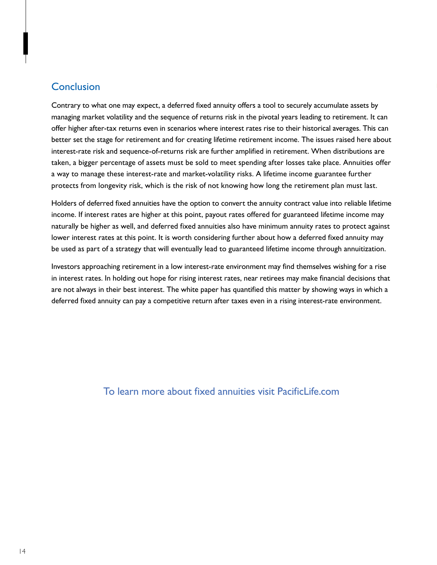## **Conclusion**

Contrary to what one may expect, a deferred fixed annuity offers a tool to securely accumulate assets by managing market volatility and the sequence of returns risk in the pivotal years leading to retirement. It can offer higher after-tax returns even in scenarios where interest rates rise to their historical averages. This can better set the stage for retirement and for creating lifetime retirement income. The issues raised here about interest-rate risk and sequence-of-returns risk are further amplified in retirement. When distributions are taken, a bigger percentage of assets must be sold to meet spending after losses take place. Annuities offer a way to manage these interest-rate and market-volatility risks. A lifetime income guarantee further protects from longevity risk, which is the risk of not knowing how long the retirement plan must last.

Holders of deferred fixed annuities have the option to convert the annuity contract value into reliable lifetime income. If interest rates are higher at this point, payout rates offered for guaranteed lifetime income may naturally be higher as well, and deferred fixed annuities also have minimum annuity rates to protect against lower interest rates at this point. It is worth considering further about how a deferred fixed annuity may be used as part of a strategy that will eventually lead to guaranteed lifetime income through annuitization.

Investors approaching retirement in a low interest-rate environment may find themselves wishing for a rise in interest rates. In holding out hope for rising interest rates, near retirees may make financial decisions that are not always in their best interest. The white paper has quantified this matter by showing ways in which a deferred fixed annuity can pay a competitive return after taxes even in a rising interest-rate environment.

## To learn more about fixed annuities visit PacificLife.com